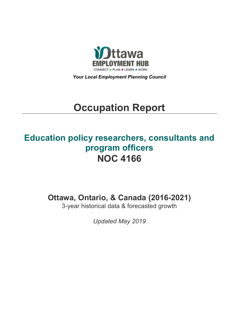

*Your Local Employment Planning Council*

# **Occupation Report**

## **Education policy researchers, consultants and program officers NOC 4166**

**Ottawa, Ontario, & Canada (2016-2021)**

3-year historical data & forecasted growth

*Updated May 2019*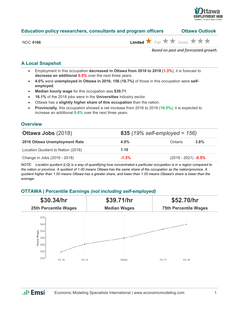

## **Education policy researchers, consultants and program officers Ottawa Outlook**

| <b>NOC 4166</b> |  |  |
|-----------------|--|--|
|                 |  |  |

 $\overrightarrow{H}$  Fair  $\overrightarrow{H}$  Good  $\overrightarrow{H}$   $\overrightarrow{H}$ 

*Based on past and forecasted growth.*

## **A Local Snapshot**

- Employment in this occupation **decreased in Ottawa from 2016 to 2018** (**1.3%**); it is forecast to **decrease an additional 0.5%** over the next three years.
- **4.0%** were **unemployed in Ottawa in 2016; 156 (18.7%)** of those in this occupation were **selfemployed**.
- **Median hourly wage** for this occupation was **\$39.71**.
- **16.1%** of the 2018 jobs were in the **Universities** industry sector.
- Ottawa has a **slightly higher share of this occupation** than the nation.
- **Provincially**, this occupation showed a net increase from 2016 to 2018 (**16.5%**); it is expected to increase an additional **9.0%** over the next three years.

#### **Overview**

| <b>Ottawa Jobs (2018)</b>          | 835 (19% self-employed = $156$ ) |                       |      |
|------------------------------------|----------------------------------|-----------------------|------|
| 2016 Ottawa Unemployment Rate      | $4.0\%$                          | Ontario               | 3.8% |
| Location Quotient to Nation (2018) | 1.10                             |                       |      |
| Change in Jobs (2016 - 2018)       | $-1.3%$                          | $(2018 - 2021)$ -0.5% |      |

*NOTE: Location quotient (LQ) is a way of quantifying how concentrated a particular occupation is in a region compared to the nation or province. A quotient of 1.00 means Ottawa has the same share of the occupation as the nation/province. A quotient higher than 1.00 means Ottawa has a greater share, and lower than 1.00 means Ottawa's share is lower than the average.*

## **OTTAWA | Percentile Earnings** *(not including self-employed)*



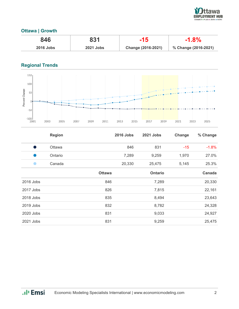

## **Ottawa | Growth**

| 846              | 831              | -15                | $-1.8%$              |
|------------------|------------------|--------------------|----------------------|
| <b>2016 Jobs</b> | <b>2021 Jobs</b> | Change (2016-2021) | % Change (2016-2021) |

## **Regional Trends**



|           | <b>Region</b> |               | <b>2016 Jobs</b> | 2021 Jobs      | Change | % Change |
|-----------|---------------|---------------|------------------|----------------|--------|----------|
| - 1       | Ottawa        |               | 846              | 831            | $-15$  | $-1.8%$  |
| u.        | Ontario       |               | 7,289            | 9,259          | 1,970  | 27.0%    |
|           | Canada        |               | 20,330           | 25,475         | 5,145  | 25.3%    |
|           |               | <b>Ottawa</b> |                  | <b>Ontario</b> |        | Canada   |
| 2016 Jobs |               | 846           |                  | 7,289          |        | 20,330   |
| 2017 Jobs |               | 826           |                  | 7,815          |        | 22,161   |
| 2018 Jobs |               | 835           |                  | 8,494          |        | 23,643   |
| 2019 Jobs |               | 832           |                  | 8,782          |        | 24,328   |
| 2020 Jobs |               | 831           |                  | 9,033          |        | 24,927   |
| 2021 Jobs |               | 831           |                  | 9,259          |        | 25,475   |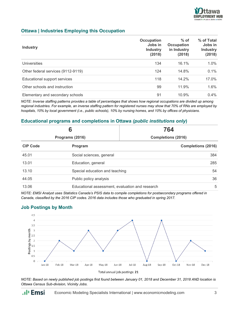

## **Ottawa | Industries Employing this Occupation**

| <b>Industry</b>                    | Occupation<br>Jobs in<br><b>Industry</b><br>(2018) | $%$ of<br>Occupation<br>in Industry<br>(2018) | % of Total<br>Jobs in<br><b>Industry</b><br>(2018) |
|------------------------------------|----------------------------------------------------|-----------------------------------------------|----------------------------------------------------|
| Universities                       | 134                                                | 16.1%                                         | $1.0\%$                                            |
| Other federal services (9112-9119) | 124                                                | 14.8%                                         | 0.1%                                               |
| Educational support services       | 118                                                | $14.2\%$                                      | $17.0\%$                                           |
| Other schools and instruction      | 99                                                 | 11.9%                                         | 1.6%                                               |
| Elementary and secondary schools   | 91                                                 | 10.9%                                         | 0.4%                                               |

*NOTE: Inverse staffing patterns provides a table of percentages that shows how regional occupations are divided up among regional industries. For example, an inverse staffing pattern for registered nurses may show that 70% of RNs are employed by hospitals, 10% by local government (i.e., public schools), 10% by nursing homes, and 10% by offices of physicians.*

## **Educational programs and completions in Ottawa** *(public institutions only***)**

| 6<br>Programs (2016) |                                                 | 764                       |  |
|----------------------|-------------------------------------------------|---------------------------|--|
|                      |                                                 | <b>Completions (2016)</b> |  |
| <b>CIP Code</b>      | Program                                         | <b>Completions (2016)</b> |  |
| 45.01                | Social sciences, general                        | 384                       |  |
| 13.01                | Education, general                              | 285                       |  |
| 13.10                | Special education and teaching                  | 54                        |  |
| 44.05                | Public policy analysis                          | 36                        |  |
| 13.06                | Educational assessment, evaluation and research | 5                         |  |

*NOTE: EMSI Analyst uses Statistics Canada's PSIS data to compile completions for postsecondary programs offered in Canada, classified by the 2016 CIP codes. 2016 data includes those who graduated in spring 2017.*

### **Job Postings by Month**

.**.**. Emsi



*NOTE: Based on newly published job postings first found between January 01, 2018 and December 31, 2018 AND location is Ottawa Census Sub-division, Vicinity Jobs.*